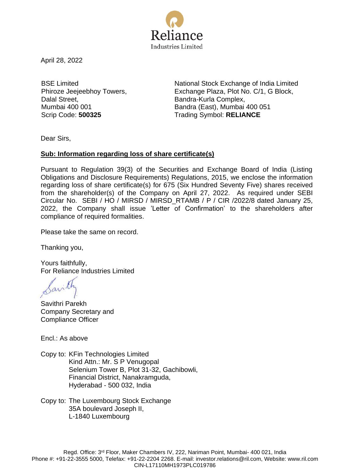

April 28, 2022

BSE Limited Phiroze Jeejeebhoy Towers, Dalal Street, Mumbai 400 001

National Stock Exchange of India Limited Exchange Plaza, Plot No. C/1, G Block, Bandra-Kurla Complex, Bandra (East), Mumbai 400 051 Scrip Code: **500325** Trading Symbol: **RELIANCE**

Dear Sirs,

## **Sub: Information regarding loss of share certificate(s)**

Pursuant to Regulation 39(3) of the Securities and Exchange Board of India (Listing Obligations and Disclosure Requirements) Regulations, 2015, we enclose the information regarding loss of share certificate(s) for 675 (Six Hundred Seventy Five) shares received from the shareholder(s) of the Company on April 27, 2022. As required under SEBI Circular No. SEBI / HO / MIRSD / MIRSD\_RTAMB / P / CIR /2022/8 dated January 25, 2022, the Company shall issue 'Letter of Confirmation' to the shareholders after compliance of required formalities.

Please take the same on record.

Thanking you,

Yours faithfully, For Reliance Industries Limited

avill

Savithri Parekh Company Secretary and Compliance Officer

Encl.: As above

Copy to: KFin Technologies Limited Kind Attn.: Mr. S P Venugopal Selenium Tower B, Plot 31-32, Gachibowli, Financial District, Nanakramguda, Hyderabad - 500 032, India

Copy to: The Luxembourg Stock Exchange 35A boulevard Joseph II, L-1840 Luxembourg